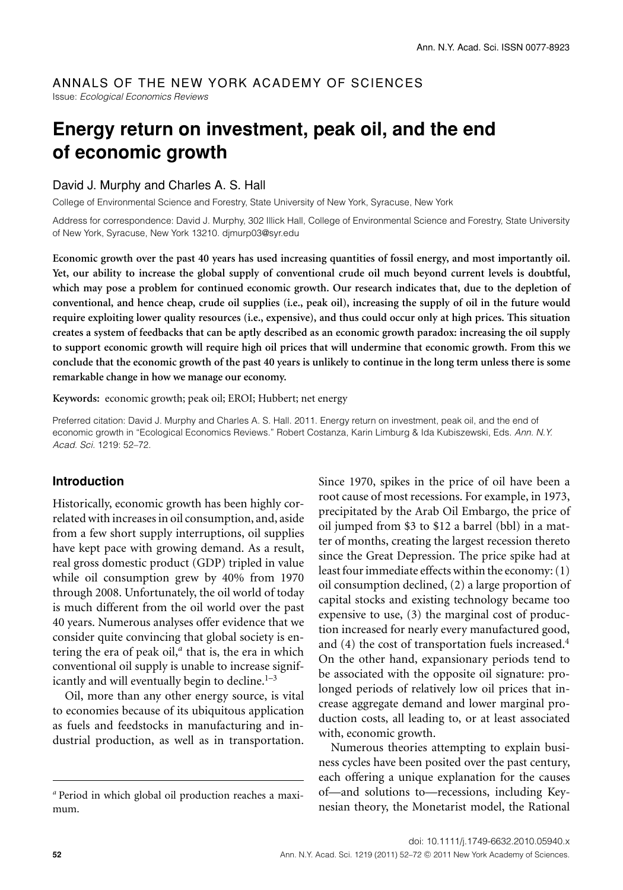## ANNALS OF THE NEW YORK ACADEMY OF SCIENCES Issue: Ecological Economics Reviews

# **Energy return on investment, peak oil, and the end of economic growth**

#### David J. Murphy and Charles A. S. Hall

College of Environmental Science and Forestry, State University of New York, Syracuse, New York

Address for correspondence: David J. Murphy, 302 Illick Hall, College of Environmental Science and Forestry, State University of New York, Syracuse, New York 13210. djmurp03@syr.edu

**Economic growth over the past 40 years has used increasing quantities of fossil energy, and most importantly oil. Yet, our ability to increase the global supply of conventional crude oil much beyond current levels is doubtful, which may pose a problem for continued economic growth. Our research indicates that, due to the depletion of conventional, and hence cheap, crude oil supplies (i.e., peak oil), increasing the supply of oil in the future would require exploiting lower quality resources (i.e., expensive), and thus could occur only at high prices. This situation creates a system of feedbacks that can be aptly described as an economic growth paradox: increasing the oil supply to support economic growth will require high oil prices that will undermine that economic growth. From this we conclude that the economic growth of the past 40 years is unlikely to continue in the long term unless there is some remarkable change in how we manage our economy.**

**Keywords:** economic growth; peak oil; EROI; Hubbert; net energy

Preferred citation: David J. Murphy and Charles A. S. Hall. 2011. Energy return on investment, peak oil, and the end of economic growth in "Ecological Economics Reviews." Robert Costanza, Karin Limburg & Ida Kubiszewski, Eds. Ann. N.Y. Acad. Sci. 1219: 52–72.

## **Introduction**

Historically, economic growth has been highly correlated with increases in oil consumption, and, aside from a few short supply interruptions, oil supplies have kept pace with growing demand. As a result, real gross domestic product (GDP) tripled in value while oil consumption grew by 40% from 1970 through 2008. Unfortunately, the oil world of today is much different from the oil world over the past 40 years. Numerous analyses offer evidence that we consider quite convincing that global society is entering the era of peak oil,*<sup>a</sup>* that is, the era in which conventional oil supply is unable to increase significantly and will eventually begin to decline. $1-3$ 

Oil, more than any other energy source, is vital to economies because of its ubiquitous application as fuels and feedstocks in manufacturing and industrial production, as well as in transportation. Since 1970, spikes in the price of oil have been a root cause of most recessions. For example, in 1973, precipitated by the Arab Oil Embargo, the price of oil jumped from \$3 to \$12 a barrel (bbl) in a matter of months, creating the largest recession thereto since the Great Depression. The price spike had at least four immediate effects within the economy: (1) oil consumption declined, (2) a large proportion of capital stocks and existing technology became too expensive to use, (3) the marginal cost of production increased for nearly every manufactured good, and (4) the cost of transportation fuels increased.4 On the other hand, expansionary periods tend to be associated with the opposite oil signature: prolonged periods of relatively low oil prices that increase aggregate demand and lower marginal production costs, all leading to, or at least associated with, economic growth.

Numerous theories attempting to explain business cycles have been posited over the past century, each offering a unique explanation for the causes of—and solutions to—recessions, including Keynesian theory, the Monetarist model, the Rational

*<sup>a</sup>* Period in which global oil production reaches a maximum.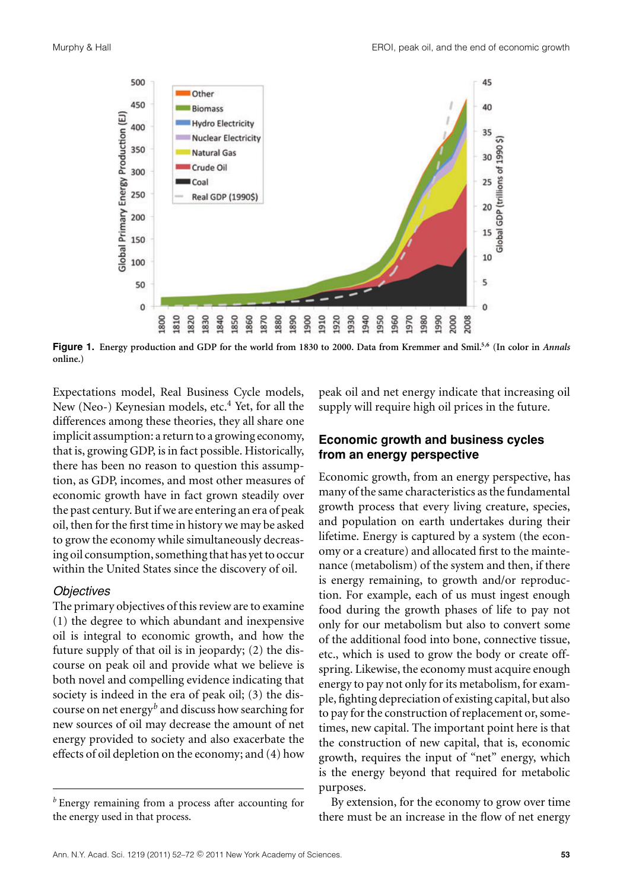

**Figure 1. Energy production and GDP for the world from 1830 to 2000. Data from Kremmer and Smil.<sup>5</sup>**,**<sup>6</sup> (In color in** *Annals* **online.)**

Expectations model, Real Business Cycle models, New (Neo-) Keynesian models, etc.<sup>4</sup> Yet, for all the differences among these theories, they all share one implicit assumption: a return to a growing economy, that is, growing GDP, is in fact possible. Historically, there has been no reason to question this assumption, as GDP, incomes, and most other measures of economic growth have in fact grown steadily over the past century. But if we are entering an era of peak oil, then for the first time in history we may be asked to grow the economy while simultaneously decreasing oil consumption, something that has yet to occur within the United States since the discovery of oil.

#### **Objectives**

The primary objectives of this review are to examine (1) the degree to which abundant and inexpensive oil is integral to economic growth, and how the future supply of that oil is in jeopardy; (2) the discourse on peak oil and provide what we believe is both novel and compelling evidence indicating that society is indeed in the era of peak oil; (3) the discourse on net energy*<sup>b</sup>* and discuss how searching for new sources of oil may decrease the amount of net energy provided to society and also exacerbate the effects of oil depletion on the economy; and (4) how

peak oil and net energy indicate that increasing oil supply will require high oil prices in the future.

## **Economic growth and business cycles from an energy perspective**

Economic growth, from an energy perspective, has many of the same characteristics as the fundamental growth process that every living creature, species, and population on earth undertakes during their lifetime. Energy is captured by a system (the economy or a creature) and allocated first to the maintenance (metabolism) of the system and then, if there is energy remaining, to growth and/or reproduction. For example, each of us must ingest enough food during the growth phases of life to pay not only for our metabolism but also to convert some of the additional food into bone, connective tissue, etc., which is used to grow the body or create offspring. Likewise, the economy must acquire enough energy to pay not only for its metabolism, for example, fighting depreciation of existing capital, but also to pay for the construction of replacement or, sometimes, new capital. The important point here is that the construction of new capital, that is, economic growth, requires the input of "net" energy, which is the energy beyond that required for metabolic purposes.

By extension, for the economy to grow over time there must be an increase in the flow of net energy

*<sup>b</sup>* Energy remaining from a process after accounting for the energy used in that process.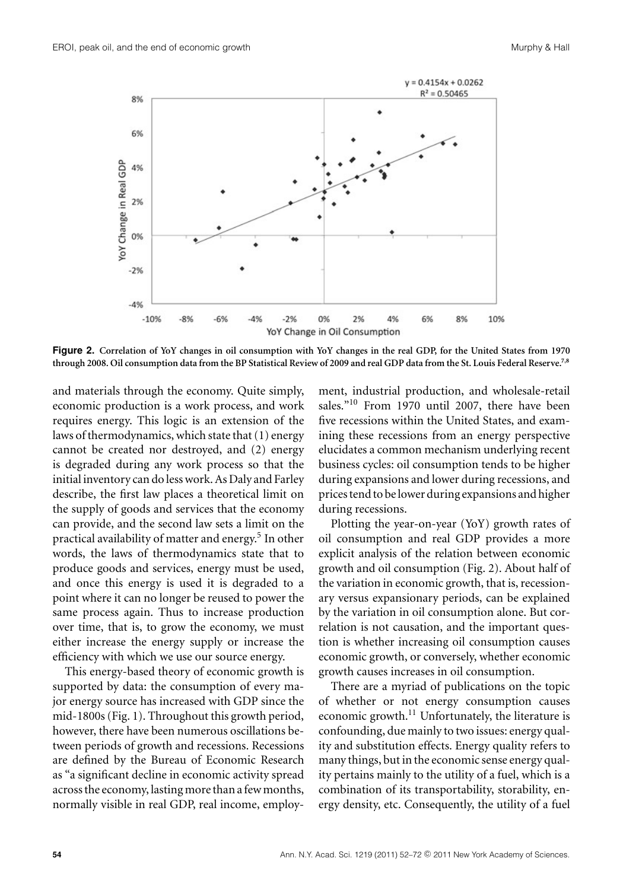

**Figure 2. Correlation of YoY changes in oil consumption with YoY changes in the real GDP, for the United States from 1970 through 2008. Oil consumption data from the BP Statistical Review of 2009 and real GDP data from the St. Louis Federal Reserve.<sup>7</sup>**,**<sup>8</sup>**

and materials through the economy. Quite simply, economic production is a work process, and work requires energy. This logic is an extension of the laws of thermodynamics, which state that (1) energy cannot be created nor destroyed, and (2) energy is degraded during any work process so that the initial inventory can do less work. As Daly and Farley describe, the first law places a theoretical limit on the supply of goods and services that the economy can provide, and the second law sets a limit on the practical availability of matter and energy.5 In other words, the laws of thermodynamics state that to produce goods and services, energy must be used, and once this energy is used it is degraded to a point where it can no longer be reused to power the same process again. Thus to increase production over time, that is, to grow the economy, we must either increase the energy supply or increase the efficiency with which we use our source energy.

This energy-based theory of economic growth is supported by data: the consumption of every major energy source has increased with GDP since the mid-1800s (Fig. 1). Throughout this growth period, however, there have been numerous oscillations between periods of growth and recessions. Recessions are defined by the Bureau of Economic Research as "a significant decline in economic activity spread across the economy, lasting more than afew months, normally visible in real GDP, real income, employment, industrial production, and wholesale-retail sales."<sup>10</sup> From 1970 until 2007, there have been five recessions within the United States, and examining these recessions from an energy perspective elucidates a common mechanism underlying recent business cycles: oil consumption tends to be higher during expansions and lower during recessions, and prices tend to be lower during expansions and higher during recessions.

Plotting the year-on-year (YoY) growth rates of oil consumption and real GDP provides a more explicit analysis of the relation between economic growth and oil consumption (Fig. 2). About half of the variation in economic growth, that is, recessionary versus expansionary periods, can be explained by the variation in oil consumption alone. But correlation is not causation, and the important question is whether increasing oil consumption causes economic growth, or conversely, whether economic growth causes increases in oil consumption.

There are a myriad of publications on the topic of whether or not energy consumption causes economic growth. $^{11}$  Unfortunately, the literature is confounding, due mainly to two issues: energy quality and substitution effects. Energy quality refers to many things, but in the economic sense energy quality pertains mainly to the utility of a fuel, which is a combination of its transportability, storability, energy density, etc. Consequently, the utility of a fuel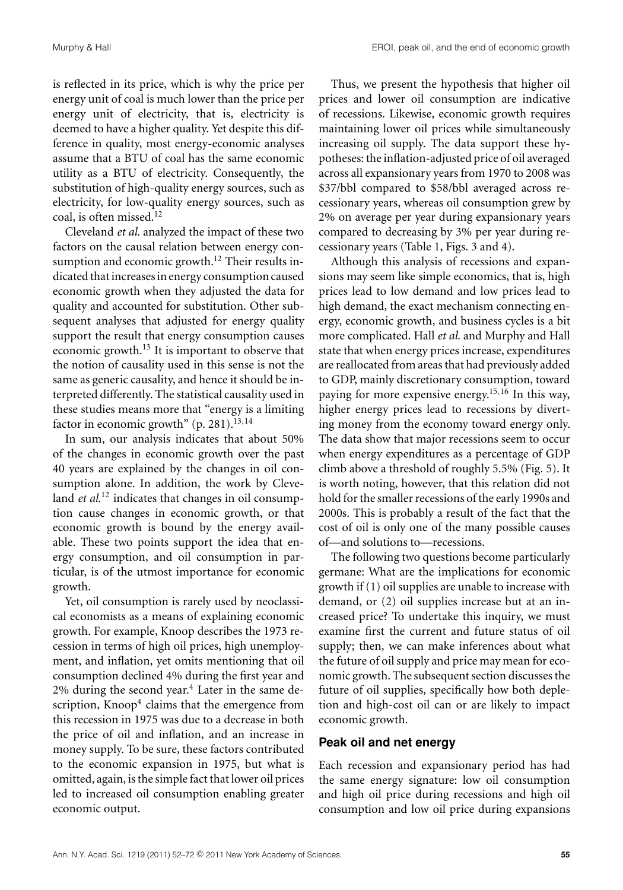is reflected in its price, which is why the price per energy unit of coal is much lower than the price per energy unit of electricity, that is, electricity is deemed to have a higher quality. Yet despite this difference in quality, most energy-economic analyses assume that a BTU of coal has the same economic utility as a BTU of electricity. Consequently, the substitution of high-quality energy sources, such as electricity, for low-quality energy sources, such as coal, is often missed.12

Cleveland *et al.* analyzed the impact of these two factors on the causal relation between energy consumption and economic growth.<sup>12</sup> Their results indicated that increases in energy consumption caused economic growth when they adjusted the data for quality and accounted for substitution. Other subsequent analyses that adjusted for energy quality support the result that energy consumption causes economic growth.<sup>13</sup> It is important to observe that the notion of causality used in this sense is not the same as generic causality, and hence it should be interpreted differently. The statistical causality used in these studies means more that "energy is a limiting factor in economic growth" (p. 281). $13,14$ 

In sum, our analysis indicates that about 50% of the changes in economic growth over the past 40 years are explained by the changes in oil consumption alone. In addition, the work by Cleveland *et al.*<sup>12</sup> indicates that changes in oil consumption cause changes in economic growth, or that economic growth is bound by the energy available. These two points support the idea that energy consumption, and oil consumption in particular, is of the utmost importance for economic growth.

Yet, oil consumption is rarely used by neoclassical economists as a means of explaining economic growth. For example, Knoop describes the 1973 recession in terms of high oil prices, high unemployment, and inflation, yet omits mentioning that oil consumption declined 4% during the first year and 2% during the second year.4 Later in the same description,  $Knoop<sup>4</sup>$  claims that the emergence from this recession in 1975 was due to a decrease in both the price of oil and inflation, and an increase in money supply. To be sure, these factors contributed to the economic expansion in 1975, but what is omitted, again, is the simple fact that lower oil prices led to increased oil consumption enabling greater economic output.

Thus, we present the hypothesis that higher oil prices and lower oil consumption are indicative of recessions. Likewise, economic growth requires maintaining lower oil prices while simultaneously increasing oil supply. The data support these hypotheses: the inflation-adjusted price of oil averaged across all expansionary years from 1970 to 2008 was \$37/bbl compared to \$58/bbl averaged across recessionary years, whereas oil consumption grew by 2% on average per year during expansionary years compared to decreasing by 3% per year during recessionary years (Table 1, Figs. 3 and 4).

Although this analysis of recessions and expansions may seem like simple economics, that is, high prices lead to low demand and low prices lead to high demand, the exact mechanism connecting energy, economic growth, and business cycles is a bit more complicated. Hall *et al.* and Murphy and Hall state that when energy prices increase, expenditures are reallocated from areas that had previously added to GDP, mainly discretionary consumption, toward paying for more expensive energy.<sup>15,16</sup> In this way, higher energy prices lead to recessions by diverting money from the economy toward energy only. The data show that major recessions seem to occur when energy expenditures as a percentage of GDP climb above a threshold of roughly 5.5% (Fig. 5). It is worth noting, however, that this relation did not hold for the smaller recessions of the early 1990s and 2000s. This is probably a result of the fact that the cost of oil is only one of the many possible causes of—and solutions to—recessions.

The following two questions become particularly germane: What are the implications for economic growth if (1) oil supplies are unable to increase with demand, or (2) oil supplies increase but at an increased price? To undertake this inquiry, we must examine first the current and future status of oil supply; then, we can make inferences about what the future of oil supply and price may mean for economic growth. The subsequent section discusses the future of oil supplies, specifically how both depletion and high-cost oil can or are likely to impact economic growth.

## **Peak oil and net energy**

Each recession and expansionary period has had the same energy signature: low oil consumption and high oil price during recessions and high oil consumption and low oil price during expansions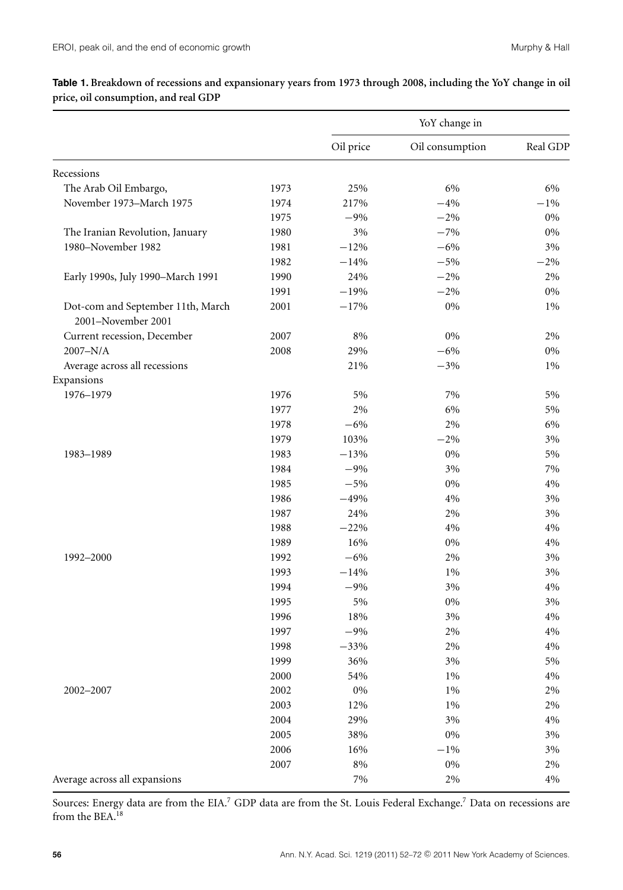|                                                         |      | YoY change in |                 |          |
|---------------------------------------------------------|------|---------------|-----------------|----------|
|                                                         |      | Oil price     | Oil consumption | Real GDP |
| Recessions                                              |      |               |                 |          |
| The Arab Oil Embargo,                                   | 1973 | 25%           | 6%              | 6%       |
| November 1973-March 1975                                | 1974 | 217%          | $-4%$           | $-1%$    |
|                                                         | 1975 | $-9%$         | $-2%$           | $0\%$    |
| The Iranian Revolution, January                         | 1980 | 3%            | $-7%$           | $0\%$    |
| 1980-November 1982                                      | 1981 | $-12%$        | $-6%$           | $3\%$    |
|                                                         | 1982 | $-14%$        | $-5%$           | $-2%$    |
| Early 1990s, July 1990-March 1991                       | 1990 | 24%           | $-2%$           | $2\%$    |
|                                                         | 1991 | $-19%$        | $-2%$           | $0\%$    |
| Dot-com and September 11th, March<br>2001-November 2001 | 2001 | $-17%$        | 0%              | 1%       |
| Current recession, December                             | 2007 | $8\%$         | 0%              | 2%       |
| $2007 - N/A$                                            | 2008 | 29%           | $-6%$           | $0\%$    |
| Average across all recessions                           |      | 21%           | $-3%$           | 1%       |
| Expansions                                              |      |               |                 |          |
| 1976-1979                                               | 1976 | 5%            | 7%              | 5%       |
|                                                         | 1977 | 2%            | 6%              | $5\%$    |
|                                                         | 1978 | $-6%$         | 2%              | 6%       |
|                                                         | 1979 | 103%          | $-2%$           | $3\%$    |
| 1983-1989                                               | 1983 | $-13%$        | $0\%$           | $5\%$    |
|                                                         | 1984 | $-9%$         | 3%              | 7%       |
|                                                         | 1985 | $-5%$         | $0\%$           | $4\%$    |
|                                                         | 1986 | $-49%$        | 4%              | 3%       |
|                                                         | 1987 | 24%           | 2%              | 3%       |
|                                                         | 1988 | $-22%$        | 4%              | $4\%$    |
|                                                         | 1989 | 16%           | $0\%$           | $4\%$    |
| 1992-2000                                               | 1992 | $-6%$         | 2%              | 3%       |
|                                                         | 1993 | $-14%$        | 1%              | 3%       |
|                                                         | 1994 | $-9%$         | 3%              | $4\%$    |
|                                                         | 1995 | 5%            | $0\%$           | 3%       |
|                                                         | 1996 | 18%           | 3%              | $4\%$    |
|                                                         | 1997 | $-9%$         | 2%              | $4\%$    |
|                                                         | 1998 | $-33%$        | 2%              | $4\%$    |
|                                                         | 1999 | 36%           | 3%              | 5%       |
|                                                         | 2000 | 54%           | 1%              | $4\%$    |
| 2002-2007                                               | 2002 | $0\%$         | 1%              | $2\%$    |
|                                                         | 2003 | 12%           | 1%              | $2\%$    |
|                                                         | 2004 | 29%           | 3%              | $4\%$    |
|                                                         | 2005 | 38%           | $0\%$           | $3\%$    |
|                                                         | 2006 | 16%           | $-1%$           | $3\%$    |
|                                                         | 2007 | $8\%$         | $0\%$           | $2\%$    |
|                                                         |      |               |                 |          |
| Average across all expansions                           |      | $7\%$         | $2\%$           | $4\%$    |

**Table 1. Breakdown of recessions and expansionary years from 1973 through 2008, including the YoY change in oil price, oil consumption, and real GDP**

Sources: Energy data are from the EIA.<sup>7</sup> GDP data are from the St. Louis Federal Exchange.<sup>7</sup> Data on recessions are from the BEA.18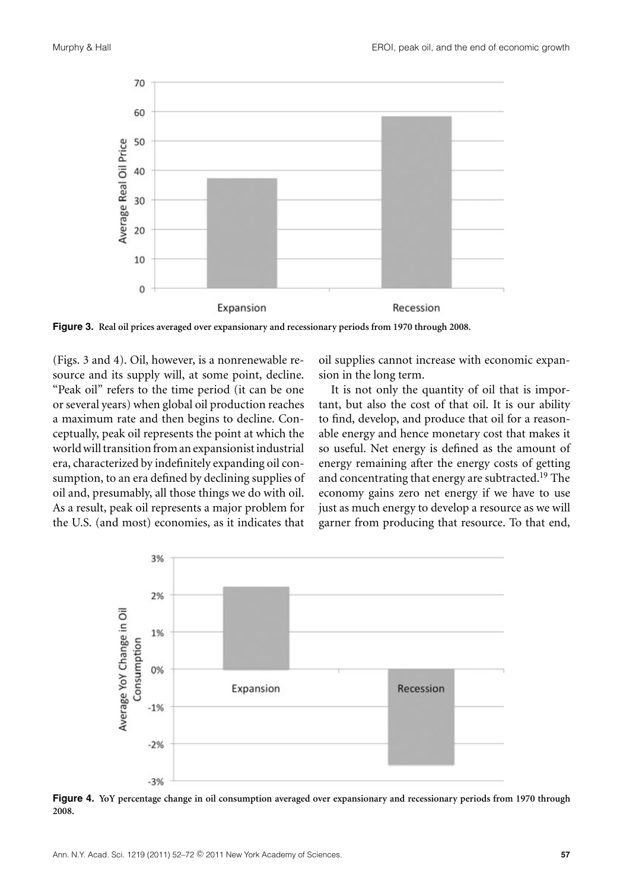

**Figure 3. Real oil prices averaged over expansionary and recessionary periods from 1970 through 2008.**

(Figs. 3 and 4). Oil, however, is a nonrenewable resource and its supply will, at some point, decline. "Peak oil" refers to the time period (it can be one or several years) when global oil production reaches a maximum rate and then begins to decline. Conceptually, peak oil represents the point at which the world will transition from an expansionist industrial era, characterized by indefinitely expanding oil consumption, to an era defined by declining supplies of oil and, presumably, all those things we do with oil. As a result, peak oil represents a major problem for the U.S. (and most) economies, as it indicates that

oil supplies cannot increase with economic expansion in the long term.

It is not only the quantity of oil that is important, but also the cost of that oil. It is our ability to find, develop, and produce that oil for a reasonable energy and hence monetary cost that makes it so useful. Net energy is defined as the amount of energy remaining after the energy costs of getting and concentrating that energy are subtracted.<sup>19</sup> The economy gains zero net energy if we have to use just as much energy to develop a resource as we will garner from producing that resource. To that end,



**Figure 4. YoY percentage change in oil consumption averaged over expansionary and recessionary periods from 1970 through 2008.**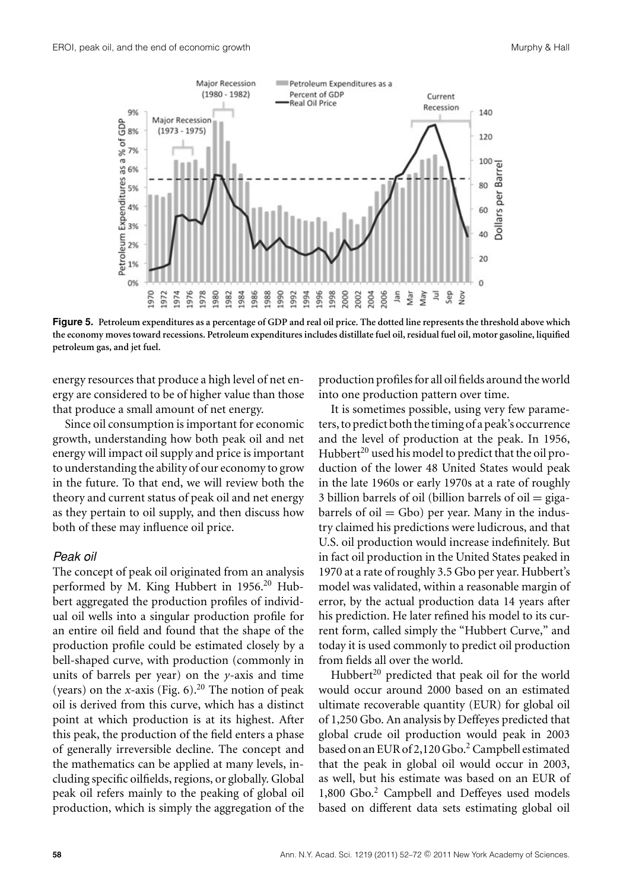

**Figure 5. Petroleum expenditures as a percentage of GDP and real oil price. The dotted line represents the threshold above which the economy moves toward recessions. Petroleum expenditures includes distillate fuel oil, residual fuel oil, motor gasoline, liquified petroleum gas, and jet fuel.**

energy resources that produce a high level of net energy are considered to be of higher value than those that produce a small amount of net energy.

Since oil consumption is important for economic growth, understanding how both peak oil and net energy will impact oil supply and price is important to understanding the ability of our economy to grow in the future. To that end, we will review both the theory and current status of peak oil and net energy as they pertain to oil supply, and then discuss how both of these may influence oil price.

#### Peak oil

The concept of peak oil originated from an analysis performed by M. King Hubbert in 1956.<sup>20</sup> Hubbert aggregated the production profiles of individual oil wells into a singular production profile for an entire oil field and found that the shape of the production profile could be estimated closely by a bell-shaped curve, with production (commonly in units of barrels per year) on the *y*-axis and time (years) on the *x*-axis (Fig. 6).<sup>20</sup> The notion of peak oil is derived from this curve, which has a distinct point at which production is at its highest. After this peak, the production of the field enters a phase of generally irreversible decline. The concept and the mathematics can be applied at many levels, including specific oilfields, regions, or globally. Global peak oil refers mainly to the peaking of global oil production, which is simply the aggregation of the production profiles for all oil fields around the world into one production pattern over time.

It is sometimes possible, using very few parameters, to predict both the timing of a peak's occurrence and the level of production at the peak. In 1956, Hubbert<sup>20</sup> used his model to predict that the oil production of the lower 48 United States would peak in the late 1960s or early 1970s at a rate of roughly 3 billion barrels of oil (billion barrels of oil  $=$  giga $barrels$  of oil  $=$  Gbo) per year. Many in the industry claimed his predictions were ludicrous, and that U.S. oil production would increase indefinitely. But in fact oil production in the United States peaked in 1970 at a rate of roughly 3.5 Gbo per year. Hubbert's model was validated, within a reasonable margin of error, by the actual production data 14 years after his prediction. He later refined his model to its current form, called simply the "Hubbert Curve," and today it is used commonly to predict oil production from fields all over the world.

Hubbert<sup>20</sup> predicted that peak oil for the world would occur around 2000 based on an estimated ultimate recoverable quantity (EUR) for global oil of 1,250 Gbo. An analysis by Deffeyes predicted that global crude oil production would peak in 2003 based on an EUR of 2,120 Gbo.<sup>2</sup> Campbell estimated that the peak in global oil would occur in 2003, as well, but his estimate was based on an EUR of 1,800 Gbo.<sup>2</sup> Campbell and Deffeyes used models based on different data sets estimating global oil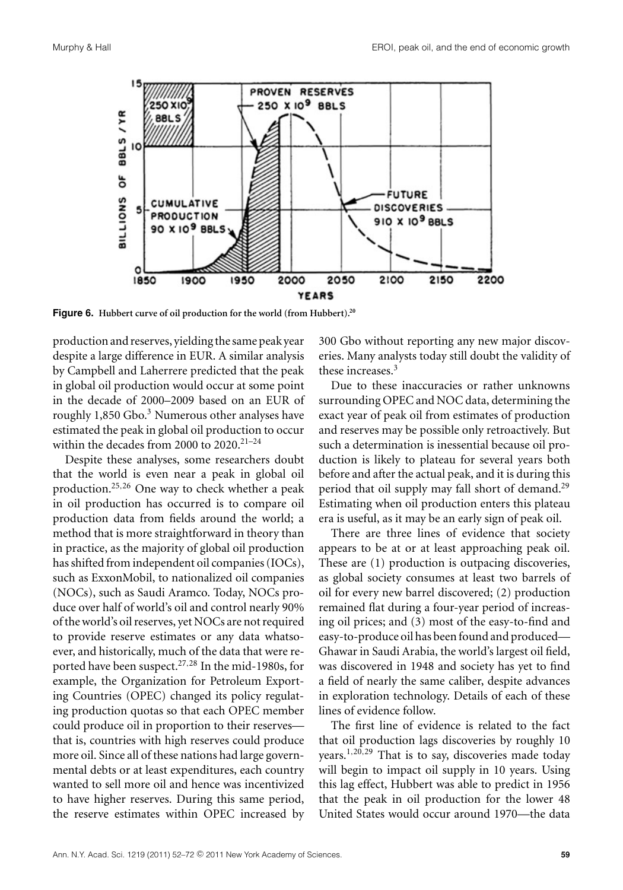

**Figure 6. Hubbert curve of oil production for the world (from Hubbert).<sup>20</sup>**

production and reserves, yielding the same peak year despite a large difference in EUR. A similar analysis by Campbell and Laherrere predicted that the peak in global oil production would occur at some point in the decade of 2000–2009 based on an EUR of roughly 1,850 Gbo.<sup>3</sup> Numerous other analyses have estimated the peak in global oil production to occur within the decades from 2000 to 2020.<sup>21-24</sup>

Despite these analyses, some researchers doubt that the world is even near a peak in global oil production.25,<sup>26</sup> One way to check whether a peak in oil production has occurred is to compare oil production data from fields around the world; a method that is more straightforward in theory than in practice, as the majority of global oil production has shifted from independent oil companies (IOCs), such as ExxonMobil, to nationalized oil companies (NOCs), such as Saudi Aramco. Today, NOCs produce over half of world's oil and control nearly 90% of the world's oil reserves, yet NOCs are not required to provide reserve estimates or any data whatsoever, and historically, much of the data that were reported have been suspect.27,<sup>28</sup> In the mid-1980s, for example, the Organization for Petroleum Exporting Countries (OPEC) changed its policy regulating production quotas so that each OPEC member could produce oil in proportion to their reserves that is, countries with high reserves could produce more oil. Since all of these nations had large governmental debts or at least expenditures, each country wanted to sell more oil and hence was incentivized to have higher reserves. During this same period, the reserve estimates within OPEC increased by

300 Gbo without reporting any new major discoveries. Many analysts today still doubt the validity of these increases.<sup>3</sup>

Due to these inaccuracies or rather unknowns surrounding OPEC and NOC data, determining the exact year of peak oil from estimates of production and reserves may be possible only retroactively. But such a determination is inessential because oil production is likely to plateau for several years both before and after the actual peak, and it is during this period that oil supply may fall short of demand.<sup>29</sup> Estimating when oil production enters this plateau era is useful, as it may be an early sign of peak oil.

There are three lines of evidence that society appears to be at or at least approaching peak oil. These are (1) production is outpacing discoveries, as global society consumes at least two barrels of oil for every new barrel discovered; (2) production remained flat during a four-year period of increasing oil prices; and (3) most of the easy-to-find and easy-to-produce oil has been found and produced— Ghawar in Saudi Arabia, the world's largest oil field, was discovered in 1948 and society has yet to find a field of nearly the same caliber, despite advances in exploration technology. Details of each of these lines of evidence follow.

The first line of evidence is related to the fact that oil production lags discoveries by roughly 10 years.<sup>1,20,29</sup> That is to say, discoveries made today will begin to impact oil supply in 10 years. Using this lag effect, Hubbert was able to predict in 1956 that the peak in oil production for the lower 48 United States would occur around 1970—the data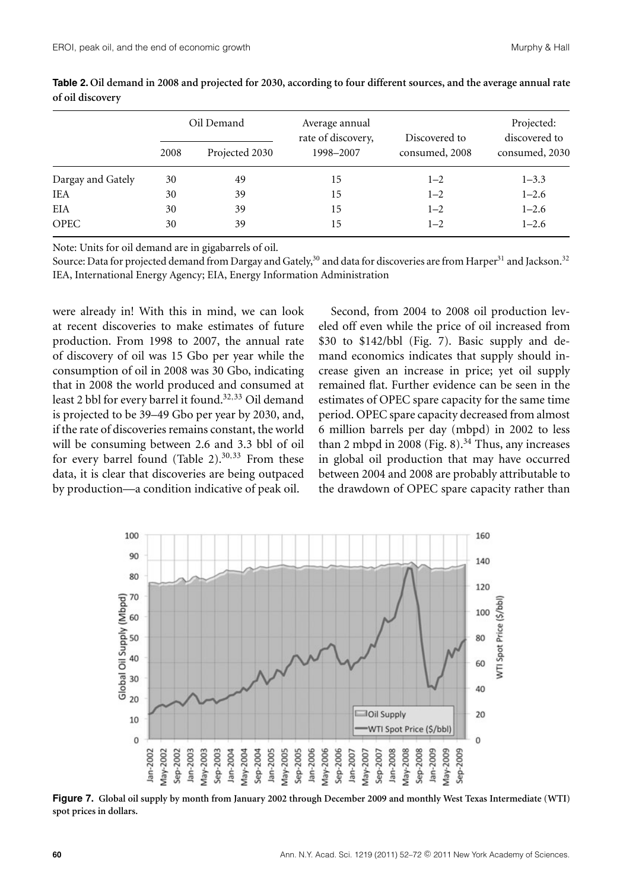|                   | Oil Demand |                | Average annual<br>rate of discovery, | Discovered to  | Projected:<br>discovered to |
|-------------------|------------|----------------|--------------------------------------|----------------|-----------------------------|
|                   | 2008       | Projected 2030 | 1998-2007                            | consumed, 2008 | consumed, 2030              |
| Dargay and Gately | 30         | 49             | 15                                   | $1 - 2$        | $1 - 3.3$                   |
| <b>IEA</b>        | 30         | 39             | 15                                   | $1 - 2$        | $1 - 2.6$                   |
| <b>EIA</b>        | 30         | 39             | 15                                   | $1 - 2$        | $1 - 2.6$                   |
| <b>OPEC</b>       | 30         | 39             | 15                                   | $1 - 2$        | $1 - 2.6$                   |

**Table 2. Oil demand in 2008 and projected for 2030, according to four different sources, and the average annual rate of oil discovery**

Note: Units for oil demand are in gigabarrels of oil.

Source: Data for projected demand from Dargay and Gately,<sup>30</sup> and data for discoveries are from Harper<sup>31</sup> and Jackson.<sup>32</sup> IEA, International Energy Agency; EIA, Energy Information Administration

were already in! With this in mind, we can look at recent discoveries to make estimates of future production. From 1998 to 2007, the annual rate of discovery of oil was 15 Gbo per year while the consumption of oil in 2008 was 30 Gbo, indicating that in 2008 the world produced and consumed at least 2 bbl for every barrel it found.<sup>32,33</sup> Oil demand is projected to be 39–49 Gbo per year by 2030, and, if the rate of discoveries remains constant, the world will be consuming between 2.6 and 3.3 bbl of oil for every barrel found (Table 2).<sup>30,33</sup> From these data, it is clear that discoveries are being outpaced by production—a condition indicative of peak oil.

Second, from 2004 to 2008 oil production leveled off even while the price of oil increased from \$30 to \$142/bbl (Fig. 7). Basic supply and demand economics indicates that supply should increase given an increase in price; yet oil supply remained flat. Further evidence can be seen in the estimates of OPEC spare capacity for the same time period. OPEC spare capacity decreased from almost 6 million barrels per day (mbpd) in 2002 to less than 2 mbpd in 2008 (Fig. 8).<sup>34</sup> Thus, any increases in global oil production that may have occurred between 2004 and 2008 are probably attributable to the drawdown of OPEC spare capacity rather than



**Figure 7. Global oil supply by month from January 2002 through December 2009 and monthly West Texas Intermediate (WTI) spot prices in dollars.**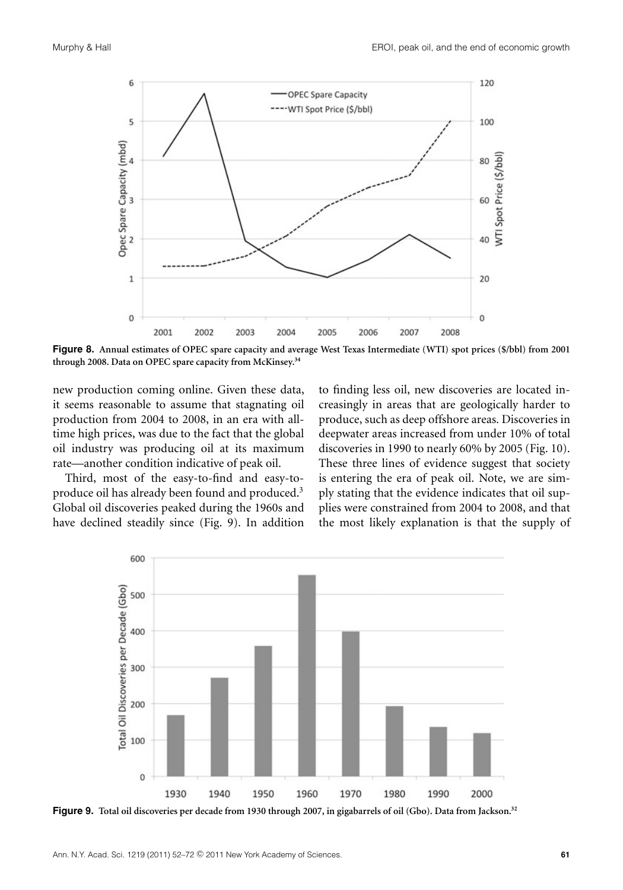

**Figure 8. Annual estimates of OPEC spare capacity and average West Texas Intermediate (WTI) spot prices (\$/bbl) from 2001 through 2008. Data on OPEC spare capacity from McKinsey.<sup>34</sup>**

new production coming online. Given these data, it seems reasonable to assume that stagnating oil production from 2004 to 2008, in an era with alltime high prices, was due to the fact that the global oil industry was producing oil at its maximum rate—another condition indicative of peak oil.

Third, most of the easy-to-find and easy-toproduce oil has already been found and produced.<sup>3</sup> Global oil discoveries peaked during the 1960s and have declined steadily since (Fig. 9). In addition to finding less oil, new discoveries are located increasingly in areas that are geologically harder to produce, such as deep offshore areas. Discoveries in deepwater areas increased from under 10% of total discoveries in 1990 to nearly 60% by 2005 (Fig. 10). These three lines of evidence suggest that society is entering the era of peak oil. Note, we are simply stating that the evidence indicates that oil supplies were constrained from 2004 to 2008, and that the most likely explanation is that the supply of



**Figure 9. Total oil discoveries per decade from 1930 through 2007, in gigabarrels of oil (Gbo). Data from Jackson.<sup>32</sup>**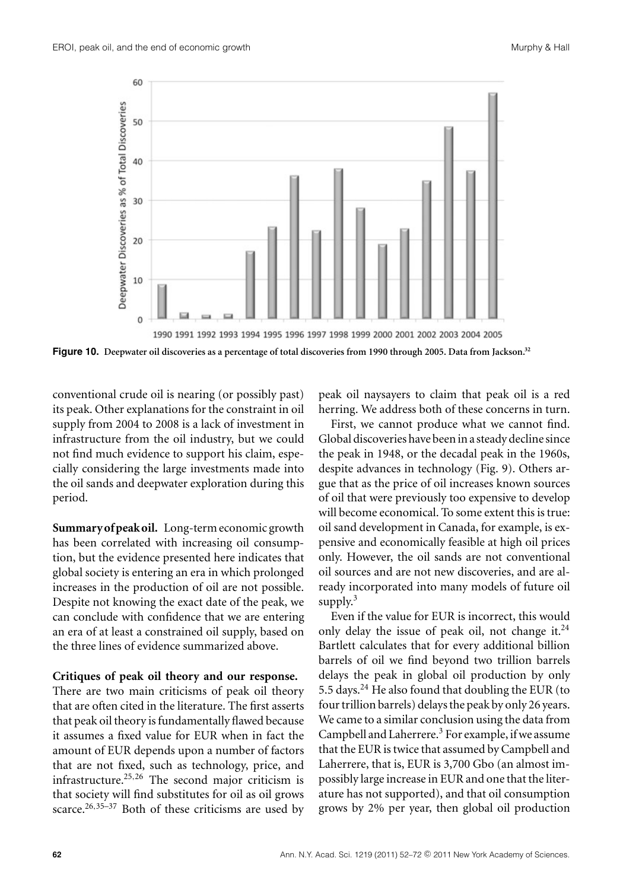

**Figure 10. Deepwater oil discoveries as a percentage of total discoveries from 1990 through 2005. Data from Jackson.<sup>32</sup>**

conventional crude oil is nearing (or possibly past) its peak. Other explanations for the constraint in oil supply from 2004 to 2008 is a lack of investment in infrastructure from the oil industry, but we could not find much evidence to support his claim, especially considering the large investments made into the oil sands and deepwater exploration during this period.

**Summary ofpeak oil.** Long-term economic growth has been correlated with increasing oil consumption, but the evidence presented here indicates that global society is entering an era in which prolonged increases in the production of oil are not possible. Despite not knowing the exact date of the peak, we can conclude with confidence that we are entering an era of at least a constrained oil supply, based on the three lines of evidence summarized above.

### **Critiques of peak oil theory and our response.**

There are two main criticisms of peak oil theory that are often cited in the literature. The first asserts that peak oil theory is fundamentally flawed because it assumes a fixed value for EUR when in fact the amount of EUR depends upon a number of factors that are not fixed, such as technology, price, and infrastructure.<sup>25,26</sup> The second major criticism is that society will find substitutes for oil as oil grows scarce.<sup>26,35–37</sup> Both of these criticisms are used by peak oil naysayers to claim that peak oil is a red herring. We address both of these concerns in turn.

First, we cannot produce what we cannot find. Global discoveries have been in a steady decline since the peak in 1948, or the decadal peak in the 1960s, despite advances in technology (Fig. 9). Others argue that as the price of oil increases known sources of oil that were previously too expensive to develop will become economical. To some extent this is true: oil sand development in Canada, for example, is expensive and economically feasible at high oil prices only. However, the oil sands are not conventional oil sources and are not new discoveries, and are already incorporated into many models of future oil supply.<sup>3</sup>

Even if the value for EUR is incorrect, this would only delay the issue of peak oil, not change it. $^{24}$ Bartlett calculates that for every additional billion barrels of oil we find beyond two trillion barrels delays the peak in global oil production by only 5.5 days. $^{24}$  He also found that doubling the EUR (to four trillion barrels) delays the peak by only 26 years. We came to a similar conclusion using the data from Campbell and Laherrere.<sup>3</sup> For example, if we assume that the EUR is twice that assumed by Campbell and Laherrere, that is, EUR is 3,700 Gbo (an almost impossibly large increase in EUR and one that the literature has not supported), and that oil consumption grows by 2% per year, then global oil production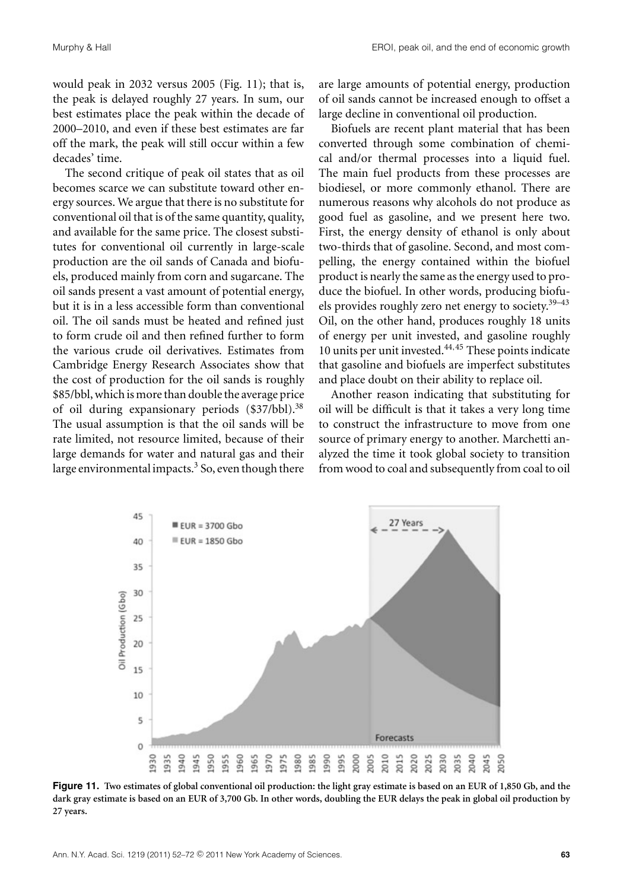would peak in 2032 versus 2005 (Fig. 11); that is, the peak is delayed roughly 27 years. In sum, our best estimates place the peak within the decade of 2000–2010, and even if these best estimates are far off the mark, the peak will still occur within a few decades' time.

The second critique of peak oil states that as oil becomes scarce we can substitute toward other energy sources. We argue that there is no substitute for conventional oil that is of the same quantity, quality, and available for the same price. The closest substitutes for conventional oil currently in large-scale production are the oil sands of Canada and biofuels, produced mainly from corn and sugarcane. The oil sands present a vast amount of potential energy, but it is in a less accessible form than conventional oil. The oil sands must be heated and refined just to form crude oil and then refined further to form the various crude oil derivatives. Estimates from Cambridge Energy Research Associates show that the cost of production for the oil sands is roughly \$85/bbl, which is more than double the average price of oil during expansionary periods (\$37/bbl).<sup>38</sup> The usual assumption is that the oil sands will be rate limited, not resource limited, because of their large demands for water and natural gas and their large environmental impacts.<sup>3</sup> So, even though there

are large amounts of potential energy, production of oil sands cannot be increased enough to offset a large decline in conventional oil production.

Biofuels are recent plant material that has been converted through some combination of chemical and/or thermal processes into a liquid fuel. The main fuel products from these processes are biodiesel, or more commonly ethanol. There are numerous reasons why alcohols do not produce as good fuel as gasoline, and we present here two. First, the energy density of ethanol is only about two-thirds that of gasoline. Second, and most compelling, the energy contained within the biofuel product is nearly the same as the energy used to produce the biofuel. In other words, producing biofuels provides roughly zero net energy to society.39–43 Oil, on the other hand, produces roughly 18 units of energy per unit invested, and gasoline roughly 10 units per unit invested.44,<sup>45</sup> These points indicate that gasoline and biofuels are imperfect substitutes and place doubt on their ability to replace oil.

Another reason indicating that substituting for oil will be difficult is that it takes a very long time to construct the infrastructure to move from one source of primary energy to another. Marchetti analyzed the time it took global society to transition from wood to coal and subsequently from coal to oil



**Figure 11. Two estimates of global conventional oil production: the light gray estimate is based on an EUR of 1,850 Gb, and the dark gray estimate is based on an EUR of 3,700 Gb. In other words, doubling the EUR delays the peak in global oil production by 27 years.**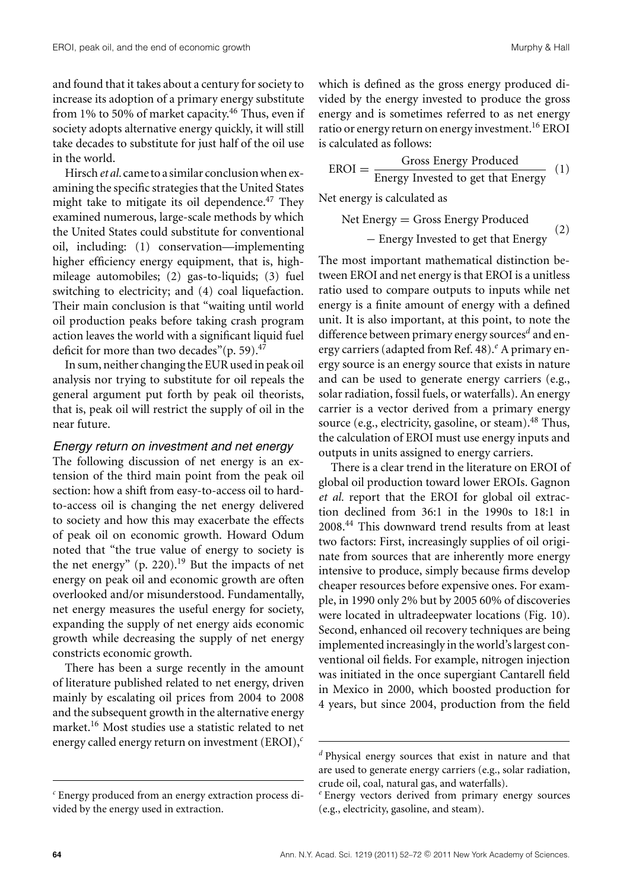and found that it takes about a century for society to increase its adoption of a primary energy substitute from 1% to 50% of market capacity.46 Thus, even if society adopts alternative energy quickly, it will still take decades to substitute for just half of the oil use in the world.

Hirsch *et al.* came to a similar conclusion when examining the specific strategies that the United States might take to mitigate its oil dependence.<sup>47</sup> They examined numerous, large-scale methods by which the United States could substitute for conventional oil, including: (1) conservation—implementing higher efficiency energy equipment, that is, highmileage automobiles; (2) gas-to-liquids; (3) fuel switching to electricity; and (4) coal liquefaction. Their main conclusion is that "waiting until world oil production peaks before taking crash program action leaves the world with a significant liquid fuel deficit for more than two decades" (p. 59).<sup>47</sup>

In sum, neither changing the EUR used in peak oil analysis nor trying to substitute for oil repeals the general argument put forth by peak oil theorists, that is, peak oil will restrict the supply of oil in the near future.

### Energy return on investment and net energy

The following discussion of net energy is an extension of the third main point from the peak oil section: how a shift from easy-to-access oil to hardto-access oil is changing the net energy delivered to society and how this may exacerbate the effects of peak oil on economic growth. Howard Odum noted that "the true value of energy to society is the net energy"  $(p. 220)^{19}$  But the impacts of net energy on peak oil and economic growth are often overlooked and/or misunderstood. Fundamentally, net energy measures the useful energy for society, expanding the supply of net energy aids economic growth while decreasing the supply of net energy constricts economic growth.

There has been a surge recently in the amount of literature published related to net energy, driven mainly by escalating oil prices from 2004 to 2008 and the subsequent growth in the alternative energy market.<sup>16</sup> Most studies use a statistic related to net energy called energy return on investment (EROI),*<sup>c</sup>* which is defined as the gross energy produced divided by the energy invested to produce the gross energy and is sometimes referred to as net energy ratio or energy return on energy investment.16 EROI is calculated as follows:

$$
EROI = \frac{Gross Energy \text{ produced}}{Energy \text{ Investigated to get that Energy}} \quad (1)
$$

Net energy is calculated as

Net Energy = Gross Energy Produced <sup>−</sup> Energy Invested to get that Energy (2)

The most important mathematical distinction between EROI and net energy is that EROI is a unitless ratio used to compare outputs to inputs while net energy is a finite amount of energy with a defined unit. It is also important, at this point, to note the difference between primary energy sources*<sup>d</sup>* and energy carriers (adapted from Ref. 48).*<sup>e</sup>* A primary energy source is an energy source that exists in nature and can be used to generate energy carriers (e.g., solar radiation, fossil fuels, or waterfalls). An energy carrier is a vector derived from a primary energy source (e.g., electricity, gasoline, or steam).<sup>48</sup> Thus, the calculation of EROI must use energy inputs and outputs in units assigned to energy carriers.

There is a clear trend in the literature on EROI of global oil production toward lower EROIs. Gagnon *et al.* report that the EROI for global oil extraction declined from 36:1 in the 1990s to 18:1 in 2008.44 This downward trend results from at least two factors: First, increasingly supplies of oil originate from sources that are inherently more energy intensive to produce, simply because firms develop cheaper resources before expensive ones. For example, in 1990 only 2% but by 2005 60% of discoveries were located in ultradeepwater locations (Fig. 10). Second, enhanced oil recovery techniques are being implemented increasingly in the world's largest conventional oil fields. For example, nitrogen injection was initiated in the once supergiant Cantarell field in Mexico in 2000, which boosted production for 4 years, but since 2004, production from the field

*<sup>c</sup>* Energy produced from an energy extraction process divided by the energy used in extraction.

*<sup>d</sup>* Physical energy sources that exist in nature and that are used to generate energy carriers (e.g., solar radiation, crude oil, coal, natural gas, and waterfalls).

*<sup>e</sup>* Energy vectors derived from primary energy sources (e.g., electricity, gasoline, and steam).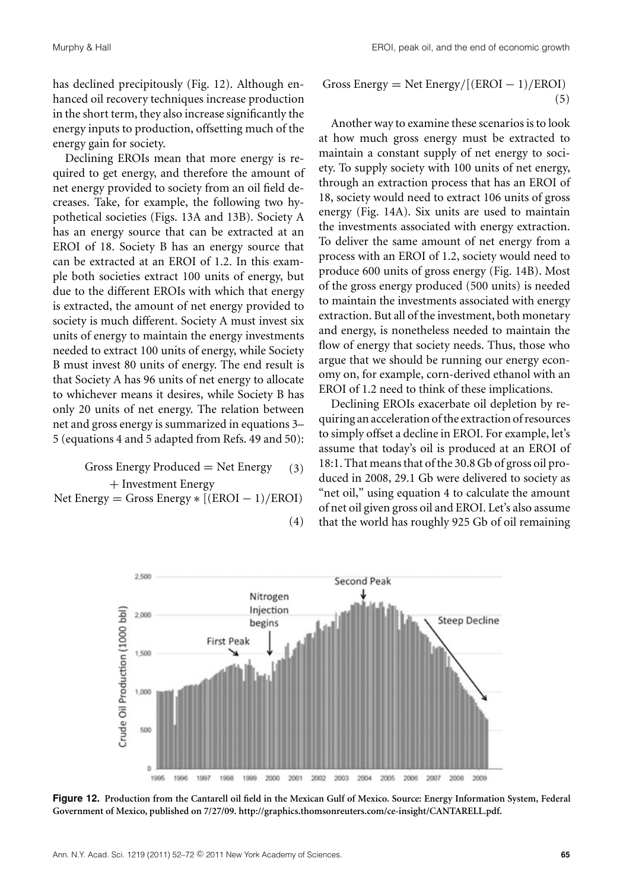has declined precipitously (Fig. 12). Although enhanced oil recovery techniques increase production in the short term, they also increase significantly the energy inputs to production, offsetting much of the energy gain for society.

Declining EROIs mean that more energy is required to get energy, and therefore the amount of net energy provided to society from an oil field decreases. Take, for example, the following two hypothetical societies (Figs. 13A and 13B). Society A has an energy source that can be extracted at an EROI of 18. Society B has an energy source that can be extracted at an EROI of 1.2. In this example both societies extract 100 units of energy, but due to the different EROIs with which that energy is extracted, the amount of net energy provided to society is much different. Society A must invest six units of energy to maintain the energy investments needed to extract 100 units of energy, while Society B must invest 80 units of energy. The end result is that Society A has 96 units of net energy to allocate to whichever means it desires, while Society B has only 20 units of net energy. The relation between net and gross energy is summarized in equations 3– 5 (equations 4 and 5 adapted from Refs. 49 and 50):

> Gross Energy Produced = Net Energy + Investment Energy (3)

Net Energy = Gross Energy  $\ast$  [(EROI – 1)/EROI)

```
(4)
```


Another way to examine these scenarios is to look at how much gross energy must be extracted to maintain a constant supply of net energy to society. To supply society with 100 units of net energy, through an extraction process that has an EROI of 18, society would need to extract 106 units of gross energy (Fig. 14A). Six units are used to maintain the investments associated with energy extraction. To deliver the same amount of net energy from a process with an EROI of 1.2, society would need to produce 600 units of gross energy (Fig. 14B). Most of the gross energy produced (500 units) is needed to maintain the investments associated with energy extraction. But all of the investment, both monetary and energy, is nonetheless needed to maintain the flow of energy that society needs. Thus, those who argue that we should be running our energy economy on, for example, corn-derived ethanol with an EROI of 1.2 need to think of these implications.

Declining EROIs exacerbate oil depletion by requiring an acceleration of the extraction of resources to simply offset a decline in EROI. For example, let's assume that today's oil is produced at an EROI of 18:1. That means that of the 30.8 Gb of gross oil produced in 2008, 29.1 Gb were delivered to society as "net oil," using equation 4 to calculate the amount of net oil given gross oil and EROI. Let's also assume that the world has roughly 925 Gb of oil remaining



**Figure 12. Production from the Cantarell oil field in the Mexican Gulf of Mexico. Source: Energy Information System, Federal Government of Mexico, published on 7/27/09. http://graphics.thomsonreuters.com/ce-insight/CANTARELL.pdf.**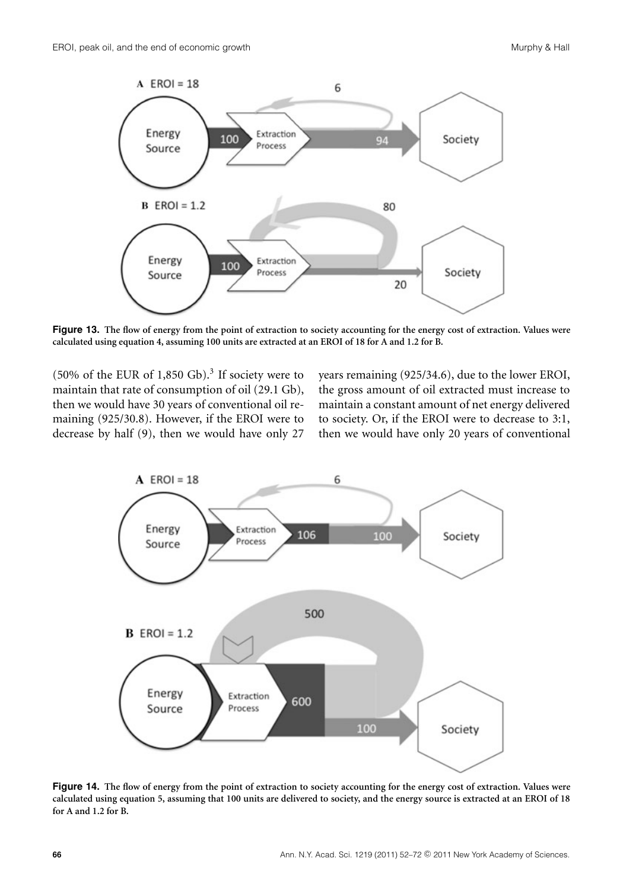

**Figure 13. The flow of energy from the point of extraction to society accounting for the energy cost of extraction. Values were calculated using equation 4, assuming 100 units are extracted at an EROI of 18 for A and 1.2 for B.**

 $(50\% \text{ of the EUR of } 1,850 \text{ Gb})$ .<sup>3</sup> If society were to maintain that rate of consumption of oil (29.1 Gb), then we would have 30 years of conventional oil remaining (925/30.8). However, if the EROI were to decrease by half (9), then we would have only 27 years remaining (925/34.6), due to the lower EROI, the gross amount of oil extracted must increase to maintain a constant amount of net energy delivered to society. Or, if the EROI were to decrease to 3:1, then we would have only 20 years of conventional



**Figure 14. The flow of energy from the point of extraction to society accounting for the energy cost of extraction. Values were calculated using equation 5, assuming that 100 units are delivered to society, and the energy source is extracted at an EROI of 18 for A and 1.2 for B.**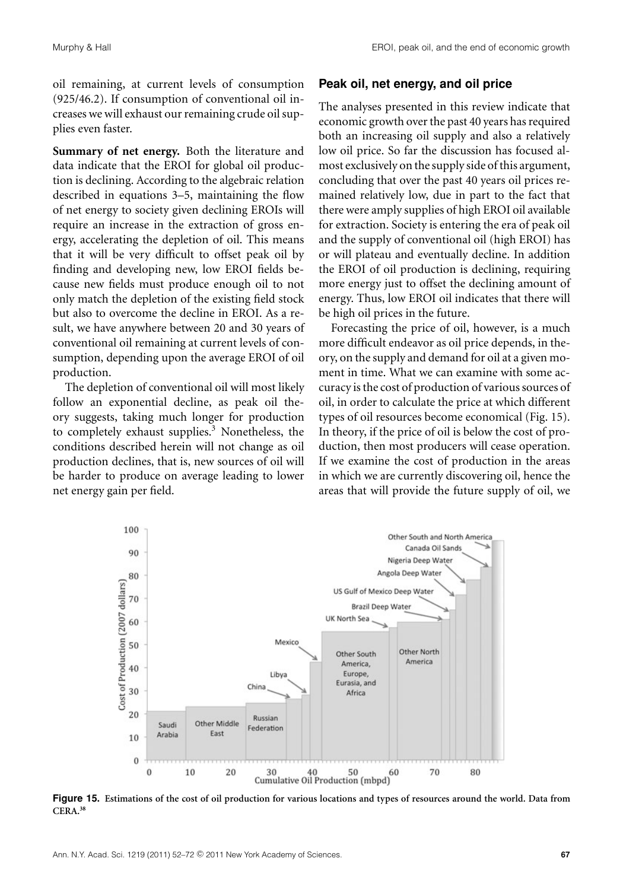oil remaining, at current levels of consumption (925/46.2). If consumption of conventional oil increases we will exhaust our remaining crude oil supplies even faster.

**Summary of net energy.** Both the literature and data indicate that the EROI for global oil production is declining. According to the algebraic relation described in equations 3–5, maintaining the flow of net energy to society given declining EROIs will require an increase in the extraction of gross energy, accelerating the depletion of oil. This means that it will be very difficult to offset peak oil by finding and developing new, low EROI fields because new fields must produce enough oil to not only match the depletion of the existing field stock but also to overcome the decline in EROI. As a result, we have anywhere between 20 and 30 years of conventional oil remaining at current levels of consumption, depending upon the average EROI of oil production.

The depletion of conventional oil will most likely follow an exponential decline, as peak oil theory suggests, taking much longer for production to completely exhaust supplies.<sup>3</sup> Nonetheless, the conditions described herein will not change as oil production declines, that is, new sources of oil will be harder to produce on average leading to lower net energy gain per field.

#### **Peak oil, net energy, and oil price**

The analyses presented in this review indicate that economic growth over the past 40 years has required both an increasing oil supply and also a relatively low oil price. So far the discussion has focused almost exclusively on the supply side of this argument, concluding that over the past 40 years oil prices remained relatively low, due in part to the fact that there were amply supplies of high EROI oil available for extraction. Society is entering the era of peak oil and the supply of conventional oil (high EROI) has or will plateau and eventually decline. In addition the EROI of oil production is declining, requiring more energy just to offset the declining amount of energy. Thus, low EROI oil indicates that there will be high oil prices in the future.

Forecasting the price of oil, however, is a much more difficult endeavor as oil price depends, in theory, on the supply and demand for oil at a given moment in time. What we can examine with some accuracy is the cost of production of various sources of oil, in order to calculate the price at which different types of oil resources become economical (Fig. 15). In theory, if the price of oil is below the cost of production, then most producers will cease operation. If we examine the cost of production in the areas in which we are currently discovering oil, hence the areas that will provide the future supply of oil, we



**Figure 15. Estimations of the cost of oil production for various locations and types of resources around the world. Data from CERA.<sup>38</sup>**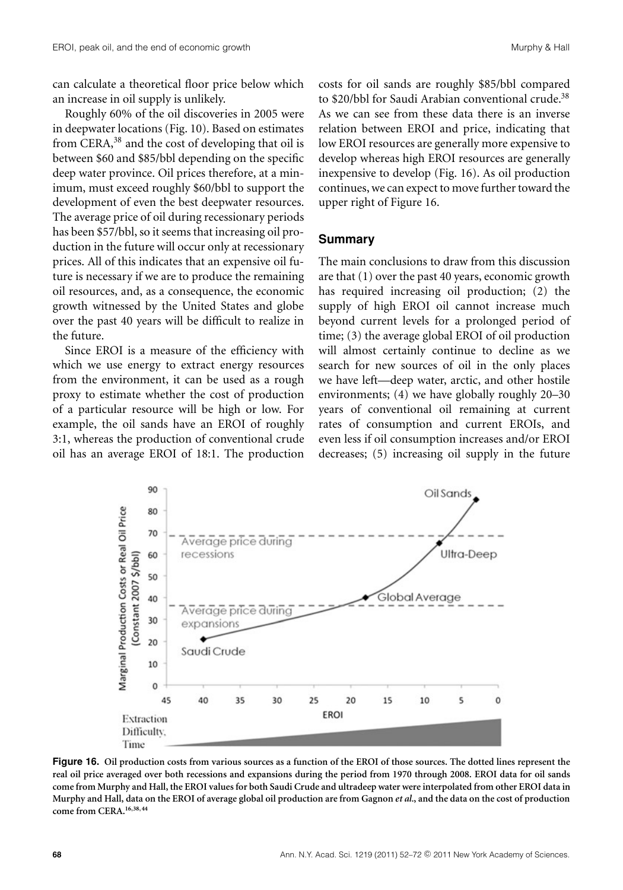can calculate a theoretical floor price below which an increase in oil supply is unlikely.

Roughly 60% of the oil discoveries in 2005 were in deepwater locations (Fig. 10). Based on estimates from CERA,<sup>38</sup> and the cost of developing that oil is between \$60 and \$85/bbl depending on the specific deep water province. Oil prices therefore, at a minimum, must exceed roughly \$60/bbl to support the development of even the best deepwater resources. The average price of oil during recessionary periods has been \$57/bbl, so it seems that increasing oil production in the future will occur only at recessionary prices. All of this indicates that an expensive oil future is necessary if we are to produce the remaining oil resources, and, as a consequence, the economic growth witnessed by the United States and globe over the past 40 years will be difficult to realize in the future.

Since EROI is a measure of the efficiency with which we use energy to extract energy resources from the environment, it can be used as a rough proxy to estimate whether the cost of production of a particular resource will be high or low. For example, the oil sands have an EROI of roughly 3:1, whereas the production of conventional crude oil has an average EROI of 18:1. The production

costs for oil sands are roughly \$85/bbl compared to \$20/bbl for Saudi Arabian conventional crude.<sup>38</sup> As we can see from these data there is an inverse relation between EROI and price, indicating that low EROI resources are generally more expensive to develop whereas high EROI resources are generally inexpensive to develop (Fig. 16). As oil production continues, we can expect to move further toward the upper right of Figure 16.

#### **Summary**

The main conclusions to draw from this discussion are that (1) over the past 40 years, economic growth has required increasing oil production; (2) the supply of high EROI oil cannot increase much beyond current levels for a prolonged period of time; (3) the average global EROI of oil production will almost certainly continue to decline as we search for new sources of oil in the only places we have left—deep water, arctic, and other hostile environments; (4) we have globally roughly 20–30 years of conventional oil remaining at current rates of consumption and current EROIs, and even less if oil consumption increases and/or EROI decreases; (5) increasing oil supply in the future



**Figure 16. Oil production costs from various sources as a function of the EROI of those sources. The dotted lines represent the real oil price averaged over both recessions and expansions during the period from 1970 through 2008. EROI data for oil sands come from Murphy and Hall, the EROI values for both Saudi Crude and ultradeep water were interpolated from other EROI data in Murphy and Hall, data on the EROI of average global oil production are from Gagnon** *et al.***, and the data on the cost of production come from CERA.<sup>16</sup>**,**38**,**<sup>44</sup>**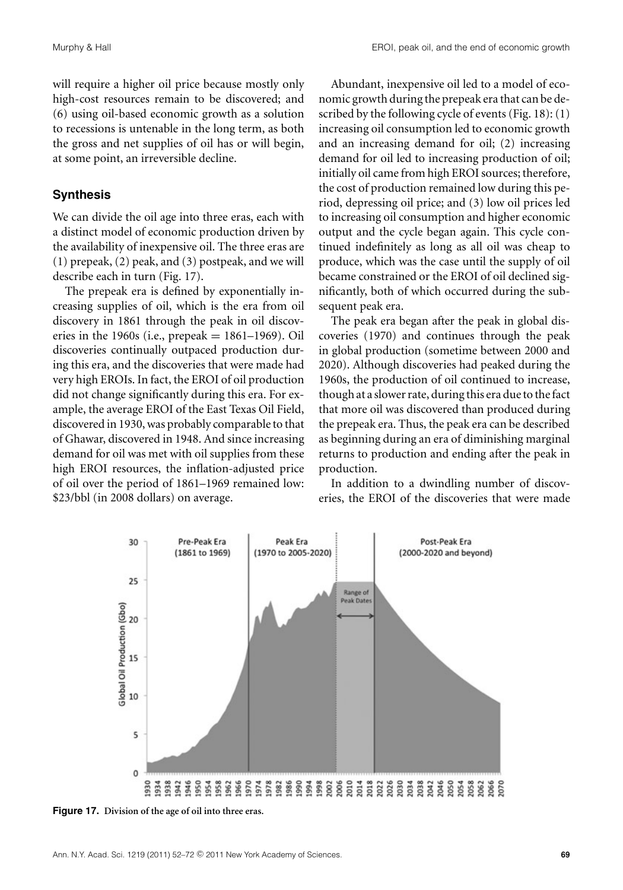will require a higher oil price because mostly only high-cost resources remain to be discovered; and (6) using oil-based economic growth as a solution to recessions is untenable in the long term, as both the gross and net supplies of oil has or will begin, at some point, an irreversible decline.

### **Synthesis**

We can divide the oil age into three eras, each with a distinct model of economic production driven by the availability of inexpensive oil. The three eras are (1) prepeak, (2) peak, and (3) postpeak, and we will describe each in turn (Fig. 17).

The prepeak era is defined by exponentially increasing supplies of oil, which is the era from oil discovery in 1861 through the peak in oil discoveries in the 1960s (i.e., prepeak  $= 1861 - 1969$ ). Oil discoveries continually outpaced production during this era, and the discoveries that were made had very high EROIs. In fact, the EROI of oil production did not change significantly during this era. For example, the average EROI of the East Texas Oil Field, discovered in 1930, was probably comparable to that of Ghawar, discovered in 1948. And since increasing demand for oil was met with oil supplies from these high EROI resources, the inflation-adjusted price of oil over the period of 1861–1969 remained low: \$23/bbl (in 2008 dollars) on average.

Abundant, inexpensive oil led to a model of economic growth during the prepeak era that can be described by the following cycle of events (Fig. 18): (1) increasing oil consumption led to economic growth and an increasing demand for oil; (2) increasing demand for oil led to increasing production of oil; initially oil came from high EROI sources; therefore, the cost of production remained low during this period, depressing oil price; and (3) low oil prices led to increasing oil consumption and higher economic output and the cycle began again. This cycle continued indefinitely as long as all oil was cheap to produce, which was the case until the supply of oil became constrained or the EROI of oil declined significantly, both of which occurred during the subsequent peak era.

The peak era began after the peak in global discoveries (1970) and continues through the peak in global production (sometime between 2000 and 2020). Although discoveries had peaked during the 1960s, the production of oil continued to increase, though at a slower rate, during this era due to thefact that more oil was discovered than produced during the prepeak era. Thus, the peak era can be described as beginning during an era of diminishing marginal returns to production and ending after the peak in production.

In addition to a dwindling number of discoveries, the EROI of the discoveries that were made



**Figure 17. Division of the age of oil into three eras.**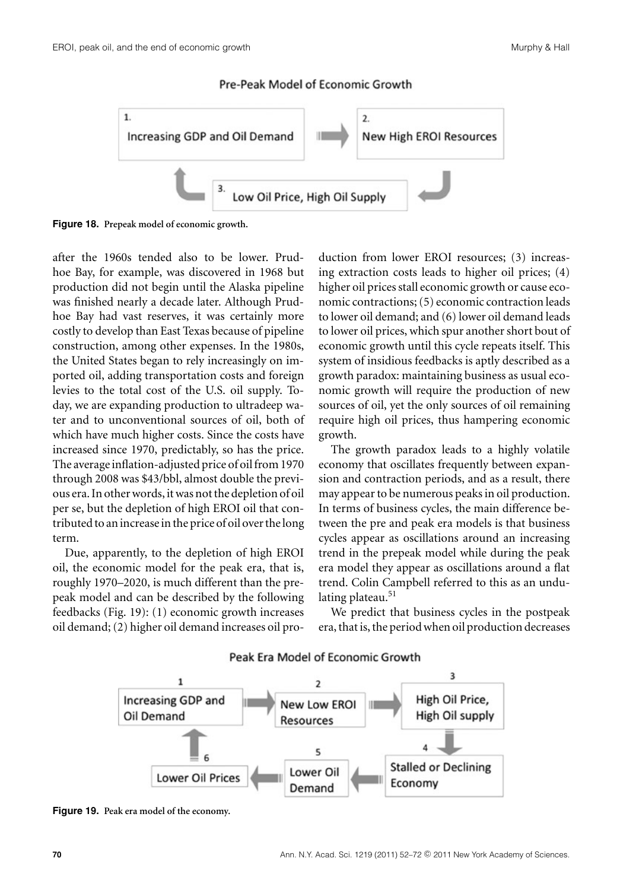## Pre-Peak Model of Economic Growth



**Figure 18. Prepeak model of economic growth.**

after the 1960s tended also to be lower. Prudhoe Bay, for example, was discovered in 1968 but production did not begin until the Alaska pipeline was finished nearly a decade later. Although Prudhoe Bay had vast reserves, it was certainly more costly to develop than East Texas because of pipeline construction, among other expenses. In the 1980s, the United States began to rely increasingly on imported oil, adding transportation costs and foreign levies to the total cost of the U.S. oil supply. Today, we are expanding production to ultradeep water and to unconventional sources of oil, both of which have much higher costs. Since the costs have increased since 1970, predictably, so has the price. The average inflation-adjusted price of oil from 1970 through 2008 was \$43/bbl, almost double the previous era. In other words, it was not the depletion of oil per se, but the depletion of high EROI oil that contributed to anincrease in the price of oil over the long term.

Due, apparently, to the depletion of high EROI oil, the economic model for the peak era, that is, roughly 1970–2020, is much different than the prepeak model and can be described by the following feedbacks (Fig. 19): (1) economic growth increases oil demand; (2) higher oil demand increases oil production from lower EROI resources; (3) increasing extraction costs leads to higher oil prices; (4) higher oil prices stall economic growth or cause economic contractions; (5) economic contraction leads to lower oil demand; and (6) lower oil demand leads to lower oil prices, which spur another short bout of economic growth until this cycle repeats itself. This system of insidious feedbacks is aptly described as a growth paradox: maintaining business as usual economic growth will require the production of new sources of oil, yet the only sources of oil remaining require high oil prices, thus hampering economic growth.

The growth paradox leads to a highly volatile economy that oscillates frequently between expansion and contraction periods, and as a result, there may appear to be numerous peaks in oil production. In terms of business cycles, the main difference between the pre and peak era models is that business cycles appear as oscillations around an increasing trend in the prepeak model while during the peak era model they appear as oscillations around a flat trend. Colin Campbell referred to this as an undulating plateau. $51$ 

We predict that business cycles in the postpeak era, that is, the period when oil production decreases



#### Peak Era Model of Economic Growth

**Figure 19. Peak era model of the economy.**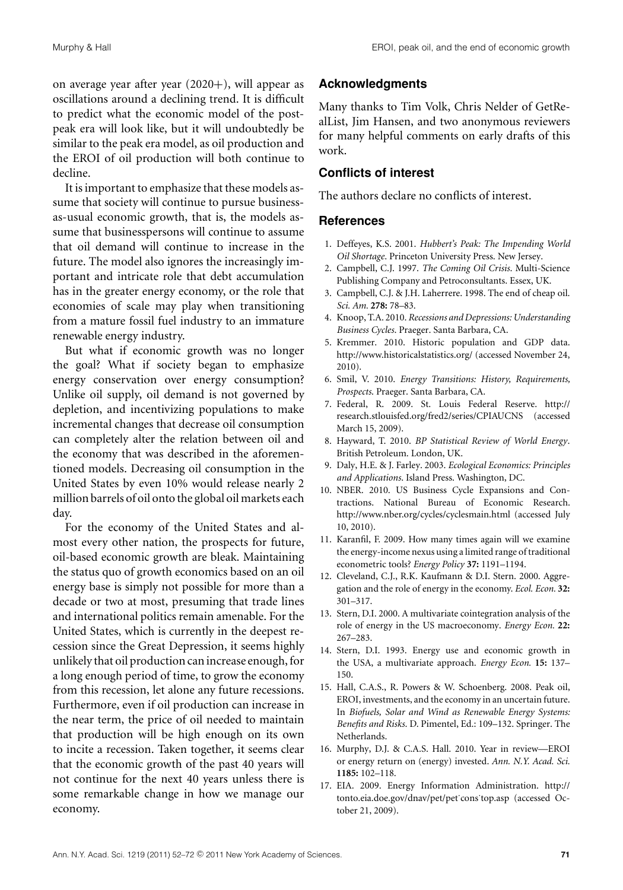on average year after year (2020+), will appear as oscillations around a declining trend. It is difficult to predict what the economic model of the postpeak era will look like, but it will undoubtedly be similar to the peak era model, as oil production and the EROI of oil production will both continue to decline.

It is important to emphasize that these models assume that society will continue to pursue businessas-usual economic growth, that is, the models assume that businesspersons will continue to assume that oil demand will continue to increase in the future. The model also ignores the increasingly important and intricate role that debt accumulation has in the greater energy economy, or the role that economies of scale may play when transitioning from a mature fossil fuel industry to an immature renewable energy industry.

But what if economic growth was no longer the goal? What if society began to emphasize energy conservation over energy consumption? Unlike oil supply, oil demand is not governed by depletion, and incentivizing populations to make incremental changes that decrease oil consumption can completely alter the relation between oil and the economy that was described in the aforementioned models. Decreasing oil consumption in the United States by even 10% would release nearly 2 million barrels of oil onto the global oil markets each day.

For the economy of the United States and almost every other nation, the prospects for future, oil-based economic growth are bleak. Maintaining the status quo of growth economics based on an oil energy base is simply not possible for more than a decade or two at most, presuming that trade lines and international politics remain amenable. For the United States, which is currently in the deepest recession since the Great Depression, it seems highly unlikely that oil production can increase enough, for a long enough period of time, to grow the economy from this recession, let alone any future recessions. Furthermore, even if oil production can increase in the near term, the price of oil needed to maintain that production will be high enough on its own to incite a recession. Taken together, it seems clear that the economic growth of the past 40 years will not continue for the next 40 years unless there is some remarkable change in how we manage our economy.

### **Acknowledgments**

Many thanks to Tim Volk, Chris Nelder of GetRealList, Jim Hansen, and two anonymous reviewers for many helpful comments on early drafts of this work.

## **Conflicts of interest**

The authors declare no conflicts of interest.

## **References**

- 1. Deffeyes, K.S. 2001. *Hubbert's Peak: The Impending World Oil Shortage*. Princeton University Press. New Jersey.
- 2. Campbell, C.J. 1997. *The Coming Oil Crisis*. Multi-Science Publishing Company and Petroconsultants. Essex, UK.
- 3. Campbell, C.J. & J.H. Laherrere. 1998. The end of cheap oil. *Sci. Am.* **278:** 78–83.
- 4. Knoop, T.A. 2010.*Recessions and Depressions: Understanding Business Cycles*. Praeger. Santa Barbara, CA.
- 5. Kremmer. 2010. Historic population and GDP data. http://www.historicalstatistics.org/ (accessed November 24, 2010).
- 6. Smil, V. 2010. *Energy Transitions: History, Requirements, Prospects*. Praeger. Santa Barbara, CA.
- 7. Federal, R. 2009. St. Louis Federal Reserve. http:// research.stlouisfed.org/fred2/series/CPIAUCNS (accessed March 15, 2009).
- 8. Hayward, T. 2010. *BP Statistical Review of World Energy*. British Petroleum. London, UK.
- 9. Daly, H.E. & J. Farley. 2003. *Ecological Economics: Principles and Applications*. Island Press. Washington, DC.
- 10. NBER. 2010. US Business Cycle Expansions and Contractions. National Bureau of Economic Research. http://www.nber.org/cycles/cyclesmain.html (accessed July 10, 2010).
- 11. Karanfil, F. 2009. How many times again will we examine the energy-income nexus using a limited range of traditional econometric tools? *Energy Policy* **37:** 1191–1194.
- 12. Cleveland, C.J., R.K. Kaufmann & D.I. Stern. 2000. Aggregation and the role of energy in the economy. *Ecol. Econ.* **32:** 301–317.
- 13. Stern, D.I. 2000. A multivariate cointegration analysis of the role of energy in the US macroeconomy. *Energy Econ.* **22:** 267–283.
- 14. Stern, D.I. 1993. Energy use and economic growth in the USA, a multivariate approach. *Energy Econ.* **15:** 137– 150.
- 15. Hall, C.A.S., R. Powers & W. Schoenberg. 2008. Peak oil, EROI, investments, and the economy in an uncertain future. In *Biofuels, Solar and Wind as Renewable Energy Systems: Benefits and Risks*. D. Pimentel, Ed.: 109–132. Springer. The Netherlands.
- 16. Murphy, D.J. & C.A.S. Hall. 2010. Year in review—EROI or energy return on (energy) invested. *Ann. N.Y. Acad. Sci.* **1185:** 102–118.
- 17. EIA. 2009. Energy Information Administration. http:// tonto.eia.doe.gov/dnav/pet/pet˙cons˙top.asp (accessed October 21, 2009).